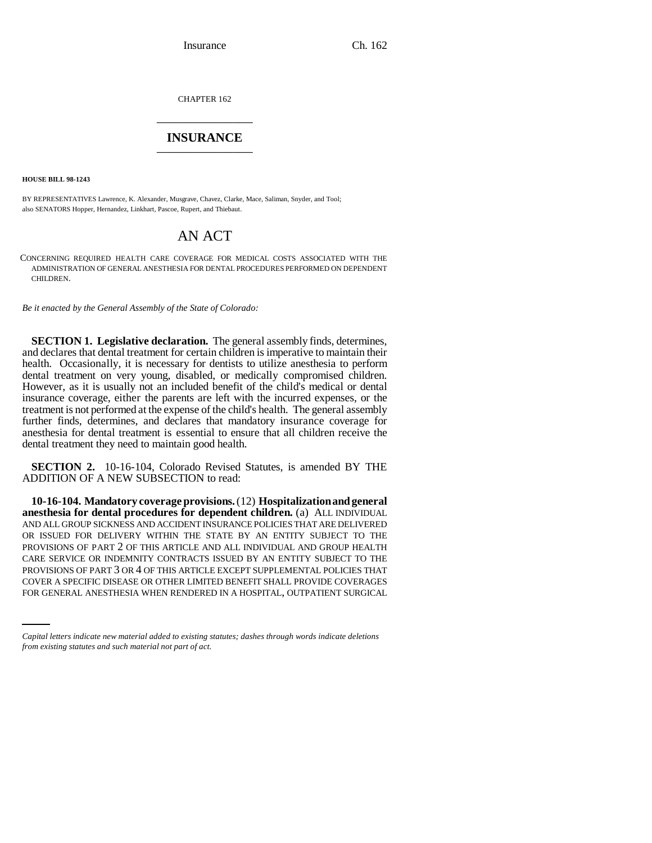Insurance Ch. 162

CHAPTER 162 \_\_\_\_\_\_\_\_\_\_\_\_\_\_\_

## **INSURANCE** \_\_\_\_\_\_\_\_\_\_\_\_\_\_\_

**HOUSE BILL 98-1243**

BY REPRESENTATIVES Lawrence, K. Alexander, Musgrave, Chavez, Clarke, Mace, Saliman, Snyder, and Tool; also SENATORS Hopper, Hernandez, Linkhart, Pascoe, Rupert, and Thiebaut.

# AN ACT

CONCERNING REQUIRED HEALTH CARE COVERAGE FOR MEDICAL COSTS ASSOCIATED WITH THE ADMINISTRATION OF GENERAL ANESTHESIA FOR DENTAL PROCEDURES PERFORMED ON DEPENDENT CHILDREN.

*Be it enacted by the General Assembly of the State of Colorado:*

**SECTION 1. Legislative declaration.** The general assembly finds, determines, and declares that dental treatment for certain children is imperative to maintain their health. Occasionally, it is necessary for dentists to utilize anesthesia to perform dental treatment on very young, disabled, or medically compromised children. However, as it is usually not an included benefit of the child's medical or dental insurance coverage, either the parents are left with the incurred expenses, or the treatment is not performed at the expense of the child's health. The general assembly further finds, determines, and declares that mandatory insurance coverage for anesthesia for dental treatment is essential to ensure that all children receive the dental treatment they need to maintain good health.

**SECTION 2.** 10-16-104, Colorado Revised Statutes, is amended BY THE ADDITION OF A NEW SUBSECTION to read:

PROVISIONS OF PART 3 OR 4 OF THIS ARTICLE EXCEPT SUPPLEMENTAL POLICIES THAT **10-16-104. Mandatory coverage provisions.** (12) **Hospitalization and general anesthesia for dental procedures for dependent children.** (a) ALL INDIVIDUAL AND ALL GROUP SICKNESS AND ACCIDENT INSURANCE POLICIES THAT ARE DELIVERED OR ISSUED FOR DELIVERY WITHIN THE STATE BY AN ENTITY SUBJECT TO THE PROVISIONS OF PART 2 OF THIS ARTICLE AND ALL INDIVIDUAL AND GROUP HEALTH CARE SERVICE OR INDEMNITY CONTRACTS ISSUED BY AN ENTITY SUBJECT TO THE COVER A SPECIFIC DISEASE OR OTHER LIMITED BENEFIT SHALL PROVIDE COVERAGES FOR GENERAL ANESTHESIA WHEN RENDERED IN A HOSPITAL, OUTPATIENT SURGICAL

*Capital letters indicate new material added to existing statutes; dashes through words indicate deletions from existing statutes and such material not part of act.*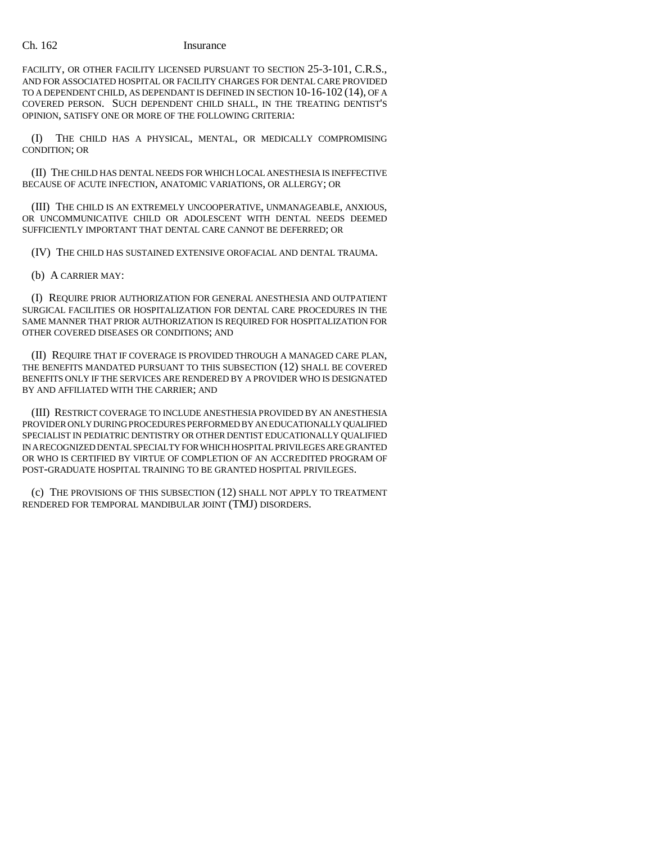### Ch. 162 Insurance

FACILITY, OR OTHER FACILITY LICENSED PURSUANT TO SECTION 25-3-101, C.R.S., AND FOR ASSOCIATED HOSPITAL OR FACILITY CHARGES FOR DENTAL CARE PROVIDED TO A DEPENDENT CHILD, AS DEPENDANT IS DEFINED IN SECTION 10-16-102 (14), OF A COVERED PERSON. SUCH DEPENDENT CHILD SHALL, IN THE TREATING DENTIST'S OPINION, SATISFY ONE OR MORE OF THE FOLLOWING CRITERIA:

(I) THE CHILD HAS A PHYSICAL, MENTAL, OR MEDICALLY COMPROMISING CONDITION; OR

(II) THE CHILD HAS DENTAL NEEDS FOR WHICH LOCAL ANESTHESIA IS INEFFECTIVE BECAUSE OF ACUTE INFECTION, ANATOMIC VARIATIONS, OR ALLERGY; OR

(III) THE CHILD IS AN EXTREMELY UNCOOPERATIVE, UNMANAGEABLE, ANXIOUS, OR UNCOMMUNICATIVE CHILD OR ADOLESCENT WITH DENTAL NEEDS DEEMED SUFFICIENTLY IMPORTANT THAT DENTAL CARE CANNOT BE DEFERRED; OR

(IV) THE CHILD HAS SUSTAINED EXTENSIVE OROFACIAL AND DENTAL TRAUMA.

(b) A CARRIER MAY:

(I) REQUIRE PRIOR AUTHORIZATION FOR GENERAL ANESTHESIA AND OUTPATIENT SURGICAL FACILITIES OR HOSPITALIZATION FOR DENTAL CARE PROCEDURES IN THE SAME MANNER THAT PRIOR AUTHORIZATION IS REQUIRED FOR HOSPITALIZATION FOR OTHER COVERED DISEASES OR CONDITIONS; AND

(II) REQUIRE THAT IF COVERAGE IS PROVIDED THROUGH A MANAGED CARE PLAN, THE BENEFITS MANDATED PURSUANT TO THIS SUBSECTION (12) SHALL BE COVERED BENEFITS ONLY IF THE SERVICES ARE RENDERED BY A PROVIDER WHO IS DESIGNATED BY AND AFFILIATED WITH THE CARRIER; AND

(III) RESTRICT COVERAGE TO INCLUDE ANESTHESIA PROVIDED BY AN ANESTHESIA PROVIDER ONLY DURING PROCEDURES PERFORMED BY AN EDUCATIONALLY QUALIFIED SPECIALIST IN PEDIATRIC DENTISTRY OR OTHER DENTIST EDUCATIONALLY QUALIFIED IN A RECOGNIZED DENTAL SPECIALTY FOR WHICH HOSPITAL PRIVILEGES ARE GRANTED OR WHO IS CERTIFIED BY VIRTUE OF COMPLETION OF AN ACCREDITED PROGRAM OF POST-GRADUATE HOSPITAL TRAINING TO BE GRANTED HOSPITAL PRIVILEGES.

(c) THE PROVISIONS OF THIS SUBSECTION (12) SHALL NOT APPLY TO TREATMENT RENDERED FOR TEMPORAL MANDIBULAR JOINT (TMJ) DISORDERS.